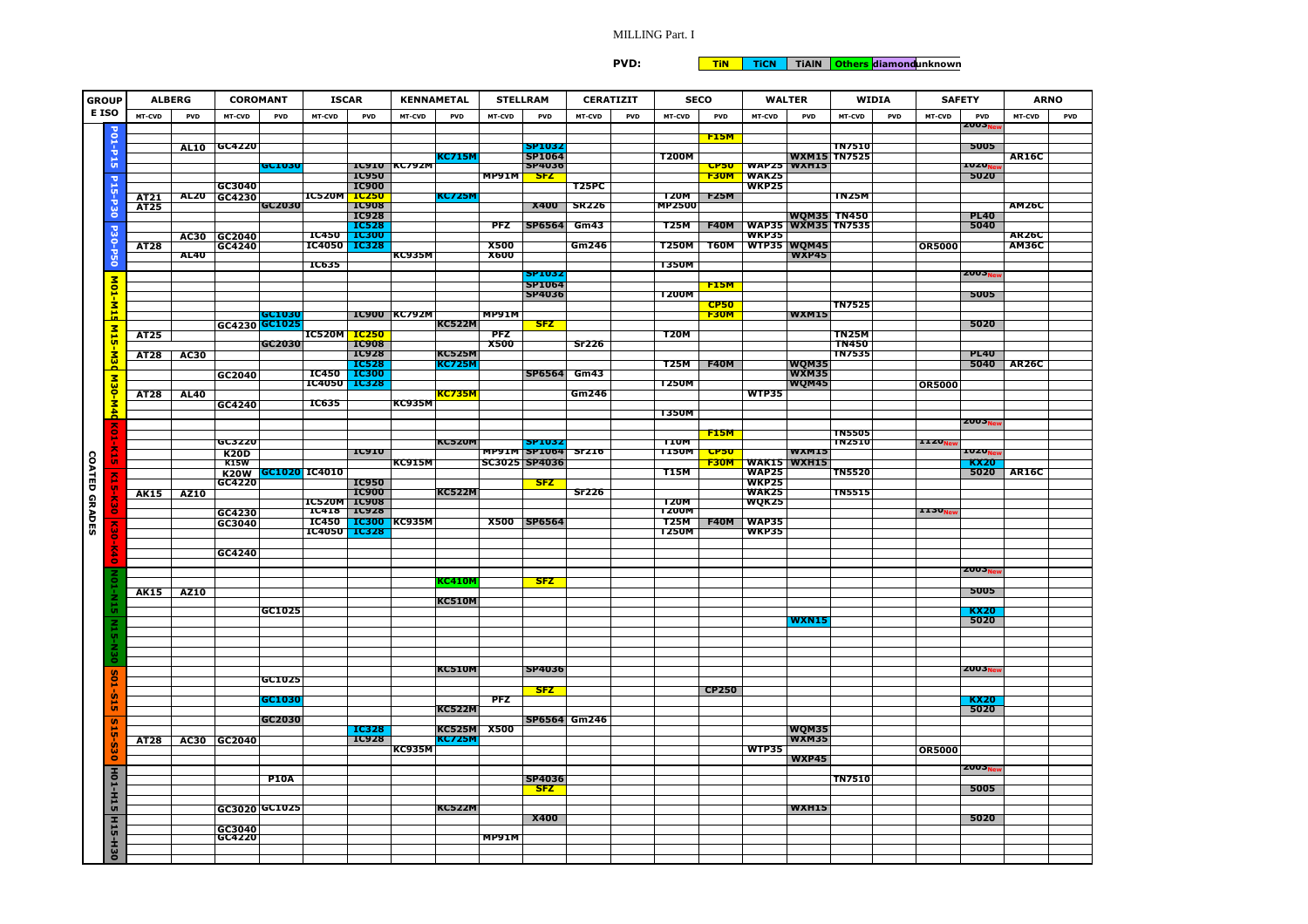## MILLING Part. I

**PVD:**

**TiN TiCN TiAlN Others diamondunknown**

| <b>GROUP</b>         |                      | <b>ALBERG</b> |             | <b>COROMANT</b>            |                    | <b>ISCAR</b>              |                              | <b>KENNAMETAL</b>   |                                | <b>STELLRAM</b> |                                            | <b>CERATIZIT</b>     | <b>SECO</b>   |              | <b>WALTER</b>                            | <b>WIDIA</b>        |            | <b>SAFETY</b>     |                                  | <b>ARNO</b>   |
|----------------------|----------------------|---------------|-------------|----------------------------|--------------------|---------------------------|------------------------------|---------------------|--------------------------------|-----------------|--------------------------------------------|----------------------|---------------|--------------|------------------------------------------|---------------------|------------|-------------------|----------------------------------|---------------|
| E ISO                |                      | MT-CVD        | <b>PVD</b>  | MT-CVD                     | <b>PVD</b>         | <b>MT-CVD</b>             | <b>PVD</b>                   | <b>MT-CVD</b>       | <b>PVD</b>                     | MT-CVD          | <b>PVD</b>                                 | MT-CVD<br><b>PVD</b> | MT-CVD        | PVD          | MT-CVD<br><b>PVD</b>                     | MT-CVD              | <b>PVD</b> | <b>MT-CVD</b>     | <b>PVD</b>                       | PVD<br>MT-CVD |
|                      |                      |               |             |                            |                    |                           |                              |                     |                                |                 |                                            |                      |               | <b>F15M</b>  |                                          |                     |            |                   | ZUU 3 <sub>N</sub>               |               |
|                      | P01-P15              |               | <b>AL10</b> | GC4220                     |                    |                           |                              |                     |                                |                 | SP1032                                     |                      |               |              |                                          | <b>TN7510</b>       |            |                   | 5005                             |               |
|                      |                      |               |             |                            | GC 1030            |                           |                              | IC910 KC792M        | KC715M                         |                 | <b>SP1064</b><br><b>SP4036</b>             |                      | <b>T200M</b>  | <b>CP50</b>  | <b>WAP25 WXH15</b>                       | <b>WXM15 TN7525</b> |            |                   | 1020,                            | <b>AR16C</b>  |
|                      |                      |               |             |                            |                    |                           | <b>IC950</b>                 |                     |                                | <b>MP91M</b>    | <b>SFZ</b>                                 |                      |               | F30M         | <b>WAK25</b>                             |                     |            |                   | 5020                             |               |
|                      |                      |               | <b>AL20</b> | GC3040                     |                    | <b>IC520M IC250</b>       | <b>IC900</b>                 |                     | <u>KC725M</u>                  |                 |                                            | <b>T25PC</b>         | <b>T20M</b>   | <b>F25M</b>  | <b>WKP25</b>                             | <b>TN25M</b>        |            |                   |                                  |               |
|                      | P15-P30              | AT21<br>AT25  |             | GC4230                     | GC2030             |                           | <b>IC908</b>                 |                     |                                |                 | <b>X400</b>                                | <b>SR226</b>         | MP2500        |              |                                          |                     |            |                   |                                  | <b>AM26C</b>  |
|                      |                      |               |             |                            |                    |                           | <b>IC928</b>                 |                     |                                | PFZ             |                                            |                      | T25M          | <b>F40M</b>  | WQM35 TN450<br><b>WAP35 WXM35 TN7535</b> |                     |            |                   | <b>PL40</b><br>5040              |               |
|                      |                      |               | <b>AC30</b> | GC2040                     |                    | <b>IC450</b>              | <b>IC528</b><br><b>IC300</b> |                     |                                |                 | <b>SP6564</b>                              | Gm43                 |               |              | <b>WKP35</b>                             |                     |            |                   |                                  | <b>AR26C</b>  |
|                      |                      | <b>AT28</b>   |             | GC4240                     |                    | <b>IC4050</b>             | <b>TC328</b>                 |                     |                                | <b>X500</b>     |                                            | Gm246                | <b>T250M</b>  | <b>T60M</b>  | WTP35 WQM45                              |                     |            | <b>OR5000</b>     |                                  | <b>AM36C</b>  |
|                      | <b>P30-P50</b>       |               | <b>AL40</b> |                            |                    | <b>IC635</b>              |                              | <b>KC935M</b>       |                                | <b>X600</b>     |                                            |                      | <b>T350M</b>  |              | WXP45                                    |                     |            |                   |                                  |               |
|                      |                      |               |             |                            |                    |                           |                              |                     |                                |                 | 512 I V 37                                 |                      |               |              |                                          |                     |            |                   | ZUU. <sub>N</sub>                |               |
|                      |                      |               |             |                            |                    |                           |                              |                     |                                |                 | <b>SP1064</b><br>SP4036                    |                      | <b>T200M</b>  | <b>F15M</b>  |                                          |                     |            |                   | 5005                             |               |
|                      | MO1-M15              |               |             |                            |                    |                           |                              |                     |                                |                 |                                            |                      |               | <b>CP50</b>  |                                          | <b>TN7525</b>       |            |                   |                                  |               |
|                      |                      |               |             |                            | GC1030             |                           |                              | <b>IC900 KC792M</b> |                                | MP91M           |                                            |                      |               | <b>F30M</b>  | <b>WXM15</b>                             |                     |            |                   |                                  |               |
|                      |                      | <b>AT25</b>   |             | GC4230 GC1025              |                    | IC520M <mark>IC250</mark> |                              |                     | KC522M                         | <b>PFZ</b>      | <b>SFZ</b>                                 |                      | <b>T20M</b>   |              |                                          | <b>TN25M</b>        |            |                   | 5020                             |               |
|                      | M <sub>15-M3</sub> d |               |             |                            | GC2030             |                           | <b>IC908</b>                 |                     |                                | <b>X500</b>     |                                            | <b>Sr226</b>         |               |              |                                          | <b>TN450</b>        |            |                   |                                  |               |
|                      |                      | <b>AT28</b>   | <b>AC30</b> |                            |                    |                           | <b>IC928</b><br><b>IC528</b> |                     | <b>KC525M</b><br><b>KC725M</b> |                 |                                            |                      | <b>T25M</b>   | <b>F40M</b>  | WQM35                                    | <b>TN7535</b>       |            |                   | <b>PL40</b><br>5040              | <b>AR26C</b>  |
|                      |                      |               |             | GC2040                     |                    | <b>IC450</b>              | <b>TC300</b>                 |                     |                                |                 | <b>SP6564</b>                              | <b>Gm43</b>          |               |              | <b>WXM35</b>                             |                     |            |                   |                                  |               |
|                      | M30-M4d              |               |             |                            |                    | IC4050 IC328              |                              |                     | <u>KC735M</u>                  |                 |                                            | Gm246                | <b>T250M</b>  |              | WQM45<br><b>WTP35</b>                    |                     |            | <b>OR5000</b>     |                                  |               |
|                      |                      | AT28          | <b>AL40</b> | GC4240                     |                    | <b>IC635</b>              |                              | <b>KC935M</b>       |                                |                 |                                            |                      |               |              |                                          |                     |            |                   |                                  |               |
| <b>COATED GRADES</b> |                      |               |             |                            |                    |                           |                              |                     |                                |                 |                                            |                      | <b>T350M</b>  |              |                                          |                     |            |                   |                                  |               |
|                      | č                    |               |             |                            |                    |                           |                              |                     |                                |                 |                                            |                      |               | <b>F15M</b>  |                                          | <b>TN5505</b>       |            |                   | ZUU J <sub>N</sub>               |               |
|                      |                      |               |             | GC3220                     |                    |                           |                              |                     | <b>KC520M</b>                  |                 | <b>SP1032</b>                              |                      | <b>TIUM</b>   |              |                                          | <b>TN2510</b>       |            | 1120 <sub>N</sub> |                                  |               |
|                      | 흕                    |               |             | <b>K20D</b><br><b>K15W</b> |                    |                           | <b>IC910</b>                 | <b>KC915M</b>       |                                |                 | <b>MP91M SP1064 Sr216</b><br>SC3025 SP4036 |                      | <b>T150M</b>  | CP50<br>F30M | <b>WXM15</b><br><b>WAK15 WXH15</b>       |                     |            |                   | 10ZU <sub>N</sub><br><b>KX20</b> |               |
|                      |                      |               |             |                            | K20W GC1020 IC4010 |                           |                              |                     |                                |                 |                                            |                      | T15M          |              | <b>WAP25</b>                             | <b>TN5520</b>       |            |                   | 5020                             | <b>AR16C</b>  |
|                      | ē.                   |               |             | GC4220                     |                    |                           | <b>IC950</b>                 |                     | <b>KC522M</b>                  |                 | <b>SFZ</b>                                 |                      |               |              | <b>WKP25</b>                             | <b>TN5515</b>       |            |                   |                                  |               |
|                      | ᇮ                    | <b>AK15</b>   | AZ10        |                            |                    | <b>IC520M IC908</b>       | <b>IC900</b>                 |                     |                                |                 |                                            | <b>Sr226</b>         | <b>T20M</b>   |              | <b>WAK25</b><br>WQK25                    |                     |            |                   |                                  |               |
|                      |                      |               |             | GC4230                     |                    |                           | IC418 IC928                  |                     |                                |                 |                                            |                      | <b>T200M</b>  |              |                                          |                     |            | 113V <sub>N</sub> |                                  |               |
|                      | $\frac{1}{2}$        |               |             | GC3040                     |                    | <b>IC450</b><br>IC4050    | <b>IC300</b><br><b>IC328</b> | <b>KC935M</b>       |                                |                 | X500 SP6564                                |                      | T25M<br>T250M | <b>F40M</b>  | <b>WAP35</b><br><b>WKP35</b>             |                     |            |                   |                                  |               |
|                      | ż                    |               |             |                            |                    |                           |                              |                     |                                |                 |                                            |                      |               |              |                                          |                     |            |                   |                                  |               |
|                      | ŀ,                   |               |             | GC4240                     |                    |                           |                              |                     |                                |                 |                                            |                      |               |              |                                          |                     |            |                   |                                  |               |
|                      | š                    |               |             |                            |                    |                           |                              |                     |                                |                 |                                            |                      |               |              |                                          |                     |            |                   | <b>ZUU.3<sub>N</sub></b>         |               |
|                      |                      |               |             |                            |                    |                           |                              |                     | <u>KC410M</u>                  |                 | <b>SFZ</b>                                 |                      |               |              |                                          |                     |            |                   | 5005                             |               |
|                      |                      | <b>AK15</b>   | AZ10        |                            |                    |                           |                              |                     | <b>KC510M</b>                  |                 |                                            |                      |               |              |                                          |                     |            |                   |                                  |               |
|                      | ů                    |               |             |                            | GC1025             |                           |                              |                     |                                |                 |                                            |                      |               |              |                                          |                     |            |                   | <b>KX20</b>                      |               |
|                      | Ξ                    |               |             |                            |                    |                           |                              |                     |                                |                 |                                            |                      |               |              | WXN15                                    |                     |            |                   | 5020                             |               |
|                      | ÙΠ                   |               |             |                            |                    |                           |                              |                     |                                |                 |                                            |                      |               |              |                                          |                     |            |                   |                                  |               |
|                      | ă                    |               |             |                            |                    |                           |                              |                     |                                |                 |                                            |                      |               |              |                                          |                     |            |                   |                                  |               |
|                      |                      |               |             |                            |                    |                           |                              |                     | <b>KC51UM</b>                  |                 | <b>SP4036</b>                              |                      |               |              |                                          |                     |            |                   | ZUU 3 <sub>N</sub>               |               |
|                      | <u>Soit</u>          |               |             |                            | GC1025             |                           |                              |                     |                                |                 | <b>SFZ</b>                                 |                      |               | <b>CP250</b> |                                          |                     |            |                   |                                  |               |
|                      | ù.<br>ü              |               |             |                            | GC1030             |                           |                              |                     |                                | <b>PFZ</b>      |                                            |                      |               |              |                                          |                     |            |                   | <b>KX20</b>                      |               |
|                      |                      |               |             |                            | GC2030             |                           |                              |                     | KC522M                         |                 | SP6564 Gm246                               |                      |               |              |                                          |                     |            |                   | 5020                             |               |
|                      |                      |               |             |                            |                    |                           | <b>IC328</b>                 |                     | <b>KC525M</b>                  | <b>X500</b>     |                                            |                      |               |              | WQM35                                    |                     |            |                   |                                  |               |
|                      |                      | AT28          |             | AC30 GC2040                |                    |                           | <b>IC928</b>                 | <b>KC935M</b>       | <u>KC725M</u>                  |                 |                                            |                      |               |              | <b>WXM35</b><br><b>WTP35</b>             |                     |            |                   |                                  |               |
|                      | S15-530              |               |             |                            |                    |                           |                              |                     |                                |                 |                                            |                      |               |              | <b>WXP45</b>                             |                     |            | <b>OR5000</b>     |                                  |               |
|                      |                      |               |             |                            |                    |                           |                              |                     |                                |                 |                                            |                      |               |              |                                          |                     |            |                   | ZUU.3 <sub>N</sub>               |               |
|                      |                      |               |             |                            | <b>P10A</b>        |                           |                              |                     |                                |                 | <b>SP4036</b><br>S FZ                      |                      |               |              |                                          | <b>TN7510</b>       |            |                   | 5005                             |               |
|                      | <b>HO1-H15</b>       |               |             |                            |                    |                           |                              |                     |                                |                 |                                            |                      |               |              |                                          |                     |            |                   |                                  |               |
|                      |                      |               |             | GC3020 GC1025              |                    |                           |                              |                     | <b>KC522M</b>                  |                 | <b>X400</b>                                |                      |               |              | <b>WXH15</b>                             |                     |            |                   | 5020                             |               |
|                      | H15-H30              |               |             | GC3040<br>GC4220           |                    |                           |                              |                     |                                |                 |                                            |                      |               |              |                                          |                     |            |                   |                                  |               |
|                      |                      |               |             |                            |                    |                           |                              |                     |                                | MP91M           |                                            |                      |               |              |                                          |                     |            |                   |                                  |               |
|                      |                      |               |             |                            |                    |                           |                              |                     |                                |                 |                                            |                      |               |              |                                          |                     |            |                   |                                  |               |
|                      |                      |               |             |                            |                    |                           |                              |                     |                                |                 |                                            |                      |               |              |                                          |                     |            |                   |                                  |               |